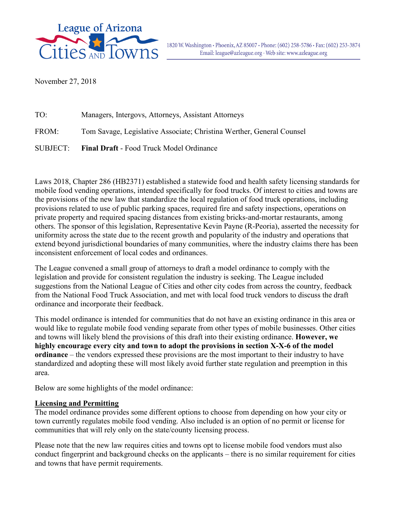

November 27, 2018

| TO:      | Managers, Intergovs, Attorneys, Assistant Attorneys                   |
|----------|-----------------------------------------------------------------------|
| FROM:    | Tom Savage, Legislative Associate; Christina Werther, General Counsel |
| SUBJECT: | <b>Final Draft - Food Truck Model Ordinance</b>                       |

Laws 2018, Chapter 286 (HB2371) established a statewide food and health safety licensing standards for mobile food vending operations, intended specifically for food trucks. Of interest to cities and towns are the provisions of the new law that standardize the local regulation of food truck operations, including provisions related to use of public parking spaces, required fire and safety inspections, operations on private property and required spacing distances from existing bricks-and-mortar restaurants, among others. The sponsor of this legislation, Representative Kevin Payne (R-Peoria), asserted the necessity for uniformity across the state due to the recent growth and popularity of the industry and operations that extend beyond jurisdictional boundaries of many communities, where the industry claims there has been inconsistent enforcement of local codes and ordinances.

The League convened a small group of attorneys to draft a model ordinance to comply with the legislation and provide for consistent regulation the industry is seeking. The League included suggestions from the National League of Cities and other city codes from across the country, feedback from the National Food Truck Association, and met with local food truck vendors to discuss the draft ordinance and incorporate their feedback.

This model ordinance is intended for communities that do not have an existing ordinance in this area or would like to regulate mobile food vending separate from other types of mobile businesses. Other cities and towns will likely blend the provisions of this draft into their existing ordinance. **However, we highly encourage every city and town to adopt the provisions in section X-X-6 of the model ordinance** – the vendors expressed these provisions are the most important to their industry to have standardized and adopting these will most likely avoid further state regulation and preemption in this area.

Below are some highlights of the model ordinance:

# **Licensing and Permitting**

The model ordinance provides some different options to choose from depending on how your city or town currently regulates mobile food vending. Also included is an option of no permit or license for communities that will rely only on the state/county licensing process.

Please note that the new law requires cities and towns opt to license mobile food vendors must also conduct fingerprint and background checks on the applicants – there is no similar requirement for cities and towns that have permit requirements.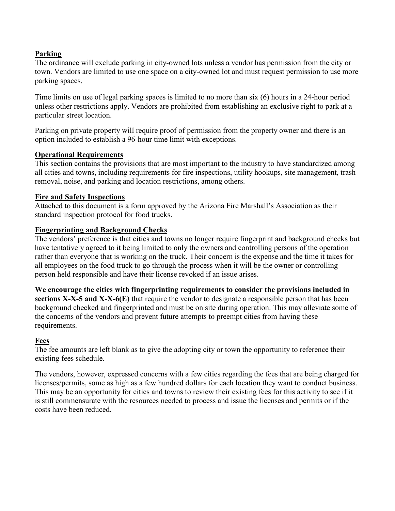# **Parking**

The ordinance will exclude parking in city-owned lots unless a vendor has permission from the city or town. Vendors are limited to use one space on a city-owned lot and must request permission to use more parking spaces.

Time limits on use of legal parking spaces is limited to no more than six (6) hours in a 24-hour period unless other restrictions apply. Vendors are prohibited from establishing an exclusive right to park at a particular street location.

Parking on private property will require proof of permission from the property owner and there is an option included to establish a 96-hour time limit with exceptions.

# **Operational Requirements**

This section contains the provisions that are most important to the industry to have standardized among all cities and towns, including requirements for fire inspections, utility hookups, site management, trash removal, noise, and parking and location restrictions, among others.

# **Fire and Safety Inspections**

Attached to this document is a form approved by the Arizona Fire Marshall's Association as their standard inspection protocol for food trucks.

# **Fingerprinting and Background Checks**

The vendors' preference is that cities and towns no longer require fingerprint and background checks but have tentatively agreed to it being limited to only the owners and controlling persons of the operation rather than everyone that is working on the truck. Their concern is the expense and the time it takes for all employees on the food truck to go through the process when it will be the owner or controlling person held responsible and have their license revoked if an issue arises.

**We encourage the cities with fingerprinting requirements to consider the provisions included in sections X-X-5 and X-X-6(E)** that require the vendor to designate a responsible person that has been background checked and fingerprinted and must be on site during operation. This may alleviate some of the concerns of the vendors and prevent future attempts to preempt cities from having these requirements.

# **Fees**

The fee amounts are left blank as to give the adopting city or town the opportunity to reference their existing fees schedule.

The vendors, however, expressed concerns with a few cities regarding the fees that are being charged for licenses/permits, some as high as a few hundred dollars for each location they want to conduct business. This may be an opportunity for cities and towns to review their existing fees for this activity to see if it is still commensurate with the resources needed to process and issue the licenses and permits or if the costs have been reduced.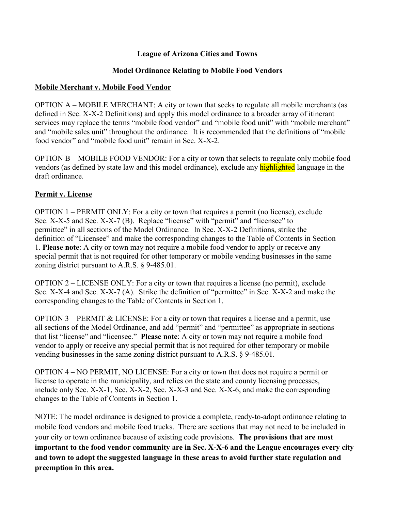# **League of Arizona Cities and Towns**

# **Model Ordinance Relating to Mobile Food Vendors**

# **Mobile Merchant v. Mobile Food Vendor**

OPTION A – MOBILE MERCHANT: A city or town that seeks to regulate all mobile merchants (as defined in Sec. X-X-2 Definitions) and apply this model ordinance to a broader array of itinerant services may replace the terms "mobile food vendor" and "mobile food unit" with "mobile merchant" and "mobile sales unit" throughout the ordinance. It is recommended that the definitions of "mobile food vendor" and "mobile food unit" remain in Sec. X-X-2.

OPTION B – MOBILE FOOD VENDOR: For a city or town that selects to regulate only mobile food vendors (as defined by state law and this model ordinance), exclude any **highlighted** language in the draft ordinance.

# **Permit v. License**

OPTION 1 – PERMIT ONLY: For a city or town that requires a permit (no license), exclude Sec. X-X-5 and Sec. X-X-7 (B). Replace "license" with "permit" and "licensee" to permittee" in all sections of the Model Ordinance. In Sec. X-X-2 Definitions, strike the definition of "Licensee" and make the corresponding changes to the Table of Contents in Section 1. **Please note**: A city or town may not require a mobile food vendor to apply or receive any special permit that is not required for other temporary or mobile vending businesses in the same zoning district pursuant to A.R.S. § 9-485.01.

OPTION 2 – LICENSE ONLY: For a city or town that requires a license (no permit), exclude Sec. X-X-4 and Sec. X-X-7 (A). Strike the definition of "permittee" in Sec. X-X-2 and make the corresponding changes to the Table of Contents in Section 1.

OPTION  $3$  – PERMIT & LICENSE: For a city or town that requires a license and a permit, use all sections of the Model Ordinance, and add "permit" and "permittee" as appropriate in sections that list "license" and "licensee." **Please note**: A city or town may not require a mobile food vendor to apply or receive any special permit that is not required for other temporary or mobile vending businesses in the same zoning district pursuant to A.R.S. § 9-485.01.

OPTION 4 – NO PERMIT, NO LICENSE: For a city or town that does not require a permit or license to operate in the municipality, and relies on the state and county licensing processes, include only Sec. X-X-1, Sec. X-X-2, Sec. X-X-3 and Sec. X-X-6, and make the corresponding changes to the Table of Contents in Section 1.

NOTE: The model ordinance is designed to provide a complete, ready-to-adopt ordinance relating to mobile food vendors and mobile food trucks. There are sections that may not need to be included in your city or town ordinance because of existing code provisions. **The provisions that are most important to the food vendor community are in Sec. X-X-6 and the League encourages every city and town to adopt the suggested language in these areas to avoid further state regulation and preemption in this area.**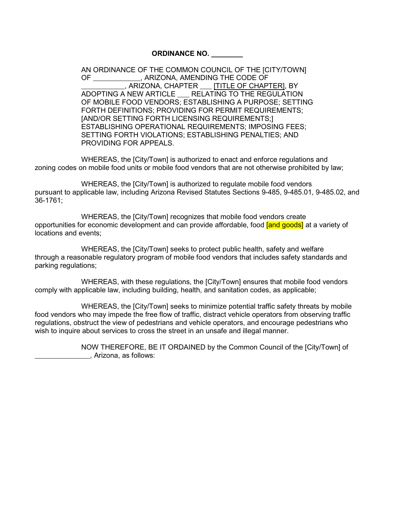#### **ORDINANCE NO. \_\_\_\_\_\_\_\_**

AN ORDINANCE OF THE COMMON COUNCIL OF THE [CITY/TOWN] OF \_\_\_\_\_\_\_\_\_\_\_\_, ARIZONA, AMENDING THE CODE OF , ARIZONA, CHAPTER FITITLE OF CHAPTER], BY ADOPTING A NEW ARTICLE \_\_\_ RELATING TO THE REGULATION OF MOBILE FOOD VENDORS; ESTABLISHING A PURPOSE; SETTING FORTH DEFINITIONS; PROVIDING FOR PERMIT REQUIREMENTS; [AND/OR SETTING FORTH LICENSING REQUIREMENTS;] ESTABLISHING OPERATIONAL REQUIREMENTS; IMPOSING FEES; SETTING FORTH VIOLATIONS; ESTABLISHING PENALTIES; AND PROVIDING FOR APPEALS.

WHEREAS, the [City/Town] is authorized to enact and enforce regulations and zoning codes on mobile food units or mobile food vendors that are not otherwise prohibited by law;

WHEREAS, the [City/Town] is authorized to regulate mobile food vendors pursuant to applicable law, including Arizona Revised Statutes Sections 9-485, 9-485.01, 9-485.02, and 36-1761;

WHEREAS, the [City/Town] recognizes that mobile food vendors create opportunities for economic development and can provide affordable, food **[and goods]** at a variety of locations and events;

WHEREAS, the [City/Town] seeks to protect public health, safety and welfare through a reasonable regulatory program of mobile food vendors that includes safety standards and parking regulations;

WHEREAS, with these regulations, the [City/Town] ensures that mobile food vendors comply with applicable law, including building, health, and sanitation codes, as applicable;

WHEREAS, the [City/Town] seeks to minimize potential traffic safety threats by mobile food vendors who may impede the free flow of traffic, distract vehicle operators from observing traffic regulations, obstruct the view of pedestrians and vehicle operators, and encourage pedestrians who wish to inquire about services to cross the street in an unsafe and illegal manner.

> NOW THEREFORE, BE IT ORDAINED by the Common Council of the [City/Town] of \_\_\_\_\_\_\_\_\_\_\_\_\_\_, Arizona, as follows: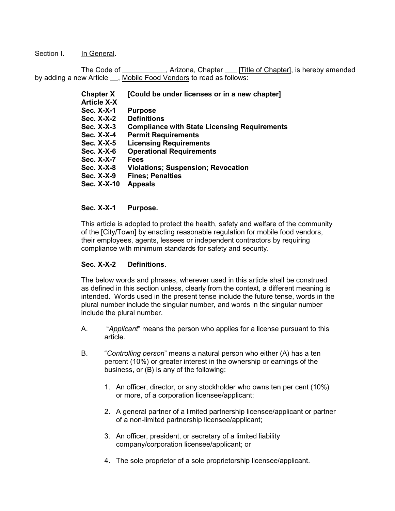Section I. In General.

The Code of \_\_\_\_\_\_\_\_\_\_\_, Arizona, Chapter \_\_\_ [Title of Chapter], is hereby amended by adding a new Article . Mobile Food Vendors to read as follows:

| <b>Chapter X</b>   | [Could be under licenses or in a new chapter]       |
|--------------------|-----------------------------------------------------|
| <b>Article X-X</b> |                                                     |
| Sec. X-X-1         | <b>Purpose</b>                                      |
| <b>Sec. X-X-2</b>  | <b>Definitions</b>                                  |
| Sec. X-X-3         | <b>Compliance with State Licensing Requirements</b> |
| <b>Sec. X-X-4</b>  | <b>Permit Requirements</b>                          |
| Sec. X-X-5         | <b>Licensing Requirements</b>                       |
| Sec. X-X-6         | <b>Operational Requirements</b>                     |
| Sec. X-X-7         | <b>Fees</b>                                         |
| <b>Sec. X-X-8</b>  | <b>Violations; Suspension; Revocation</b>           |
| Sec. X-X-9         | <b>Fines: Penalties</b>                             |
| Sec. X-X-10        | <b>Appeals</b>                                      |
|                    |                                                     |

## **Sec. X-X-1 Purpose.**

This article is adopted to protect the health, safety and welfare of the community of the [City/Town] by enacting reasonable regulation for mobile food vendors, their employees, agents, lessees or independent contractors by requiring compliance with minimum standards for safety and security.

#### **Sec. X-X-2 Definitions.**

The below words and phrases, wherever used in this article shall be construed as defined in this section unless, clearly from the context, a different meaning is intended. Words used in the present tense include the future tense, words in the plural number include the singular number, and words in the singular number include the plural number.

- A. "*Applicant*" means the person who applies for a license pursuant to this article.
- B. "*Controlling person*" means a natural person who either (A) has a ten percent (10%) or greater interest in the ownership or earnings of the business, or (B) is any of the following:
	- 1. An officer, director, or any stockholder who owns ten per cent (10%) or more, of a corporation licensee/applicant;
	- 2. A general partner of a limited partnership licensee/applicant or partner of a non-limited partnership licensee/applicant;
	- 3. An officer, president, or secretary of a limited liability company/corporation licensee/applicant; or
	- 4. The sole proprietor of a sole proprietorship licensee/applicant.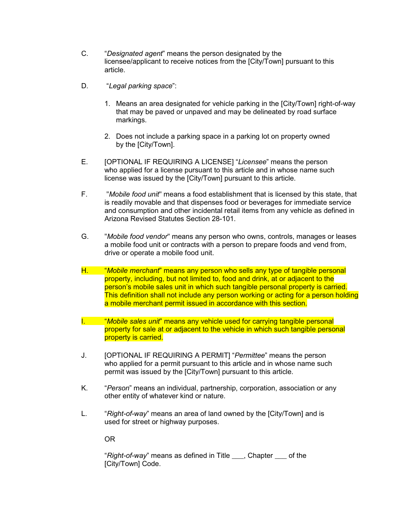- C. "*Designated agent*" means the person designated by the licensee/applicant to receive notices from the [City/Town] pursuant to this article.
- D. "*Legal parking space*":
	- 1. Means an area designated for vehicle parking in the [City/Town] right-of-way that may be paved or unpaved and may be delineated by road surface markings.
	- 2. Does not include a parking space in a parking lot on property owned by the [City/Town].
- E. [OPTIONAL IF REQUIRING A LICENSE] "*Licensee*" means the person who applied for a license pursuant to this article and in whose name such license was issued by the [City/Town] pursuant to this article.
- F. "*Mobile food unit*" means a food establishment that is licensed by this state, that is readily movable and that dispenses food or beverages for immediate service and consumption and other incidental retail items from any vehicle as defined in Arizona Revised Statutes Section 28-101.
- G. "*Mobile food vendor*" means any person who owns, controls, manages or leases a mobile food unit or contracts with a person to prepare foods and vend from, drive or operate a mobile food unit.
- H. "*Mobile merchant*" means any person who sells any type of tangible personal property, including, but not limited to, food and drink, at or adjacent to the person's mobile sales unit in which such tangible personal property is carried. This definition shall not include any person working or acting for a person holding a mobile merchant permit issued in accordance with this section.
- I. "*Mobile sales unit*" means any vehicle used for carrying tangible personal property for sale at or adjacent to the vehicle in which such tangible personal property is carried.
- J. [OPTIONAL IF REQUIRING A PERMIT] "*Permittee*" means the person who applied for a permit pursuant to this article and in whose name such permit was issued by the [City/Town] pursuant to this article.
- K. "*Person*" means an individual, partnership, corporation, association or any other entity of whatever kind or nature.
- L. "*Right-of-way*" means an area of land owned by the [City/Town] and is used for street or highway purposes.

OR

"*Right-of-way*" means as defined in Title \_\_\_, Chapter \_\_\_ of the [City/Town] Code.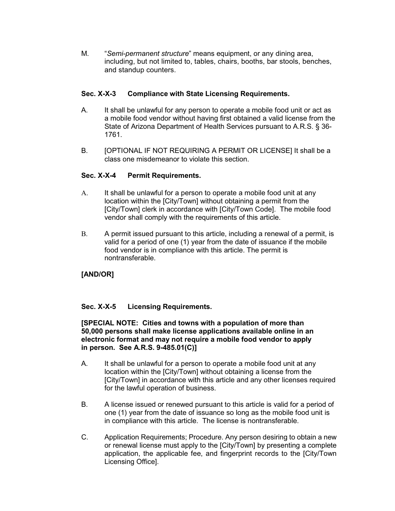M. "*Semi-permanent structure*" means equipment, or any dining area, including, but not limited to, tables, chairs, booths, bar stools, benches, and standup counters.

## **Sec. X-X-3 Compliance with State Licensing Requirements.**

- A. It shall be unlawful for any person to operate a mobile food unit or act as a mobile food vendor without having first obtained a valid license from the State of Arizona Department of Health Services pursuant to A.R.S. § 36- 1761.
- B. [OPTIONAL IF NOT REQUIRING A PERMIT OR LICENSE] It shall be a class one misdemeanor to violate this section.

## **Sec. X-X-4 Permit Requirements.**

- A. It shall be unlawful for a person to operate a mobile food unit at any location within the [City/Town] without obtaining a permit from the [City/Town] clerk in accordance with [City/Town Code]. The mobile food vendor shall comply with the requirements of this article.
- B. A permit issued pursuant to this article, including a renewal of a permit, is valid for a period of one (1) year from the date of issuance if the mobile food vendor is in compliance with this article. The permit is nontransferable.

# **[AND/OR]**

## **Sec. X-X-5 Licensing Requirements.**

#### **[SPECIAL NOTE: Cities and towns with a population of more than 50,000 persons shall make license applications available online in an electronic format and may not require a mobile food vendor to apply in person. See A.R.S. 9-485.01(C)]**

- A. It shall be unlawful for a person to operate a mobile food unit at any location within the [City/Town] without obtaining a license from the [City/Town] in accordance with this article and any other licenses required for the lawful operation of business.
- B. A license issued or renewed pursuant to this article is valid for a period of one (1) year from the date of issuance so long as the mobile food unit is in compliance with this article. The license is nontransferable.
- C. Application Requirements; Procedure. Any person desiring to obtain a new or renewal license must apply to the [City/Town] by presenting a complete application, the applicable fee, and fingerprint records to the [City/Town Licensing Office].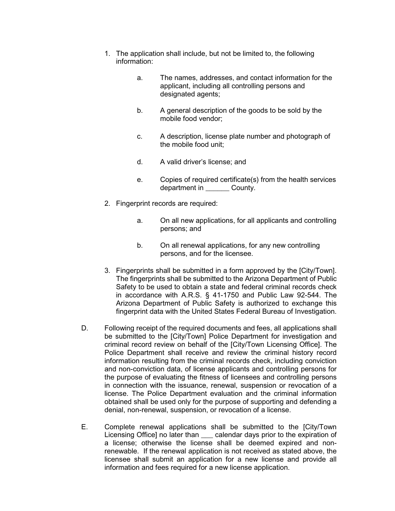- 1. The application shall include, but not be limited to, the following information:
	- a. The names, addresses, and contact information for the applicant, including all controlling persons and designated agents;
	- b. A general description of the goods to be sold by the mobile food vendor;
	- c. A description, license plate number and photograph of the mobile food unit;
	- d. A valid driver's license; and
	- e. Copies of required certificate(s) from the health services department in **County**.
- 2. Fingerprint records are required:
	- a. On all new applications, for all applicants and controlling persons; and
	- b. On all renewal applications, for any new controlling persons, and for the licensee.
- 3. Fingerprints shall be submitted in a form approved by the [City/Town]. The fingerprints shall be submitted to the Arizona Department of Public Safety to be used to obtain a state and federal criminal records check in accordance with A.R.S. § 41-1750 and Public Law 92-544. The Arizona Department of Public Safety is authorized to exchange this fingerprint data with the United States Federal Bureau of Investigation.
- D. Following receipt of the required documents and fees, all applications shall be submitted to the [City/Town] Police Department for investigation and criminal record review on behalf of the [City/Town Licensing Office]. The Police Department shall receive and review the criminal history record information resulting from the criminal records check, including conviction and non-conviction data, of license applicants and controlling persons for the purpose of evaluating the fitness of licensees and controlling persons in connection with the issuance, renewal, suspension or revocation of a license. The Police Department evaluation and the criminal information obtained shall be used only for the purpose of supporting and defending a denial, non-renewal, suspension, or revocation of a license.
- E. Complete renewal applications shall be submitted to the [City/Town Licensing Office] no later than \_\_\_ calendar days prior to the expiration of a license; otherwise the license shall be deemed expired and nonrenewable. If the renewal application is not received as stated above, the licensee shall submit an application for a new license and provide all information and fees required for a new license application.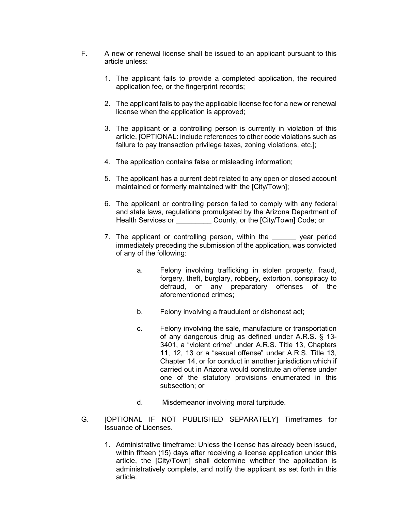- F. A new or renewal license shall be issued to an applicant pursuant to this article unless:
	- 1. The applicant fails to provide a completed application, the required application fee, or the fingerprint records;
	- 2. The applicant fails to pay the applicable license fee for a new or renewal license when the application is approved;
	- 3. The applicant or a controlling person is currently in violation of this article, [OPTIONAL: include references to other code violations such as failure to pay transaction privilege taxes, zoning violations, etc.];
	- 4. The application contains false or misleading information;
	- 5. The applicant has a current debt related to any open or closed account maintained or formerly maintained with the [City/Town];
	- 6. The applicant or controlling person failed to comply with any federal and state laws, regulations promulgated by the Arizona Department of Health Services or **County, or the [City/Town] Code; or**
	- 7. The applicant or controlling person, within the wave year period immediately preceding the submission of the application, was convicted of any of the following:
		- a. Felony involving trafficking in stolen property, fraud, forgery, theft, burglary, robbery, extortion, conspiracy to defraud, or any preparatory offenses of the aforementioned crimes;
		- b. Felony involving a fraudulent or dishonest act;
		- c. Felony involving the sale, manufacture or transportation of any dangerous drug as defined under A.R.S. § 13- 3401, a "violent crime" under A.R.S. Title 13, Chapters 11, 12, 13 or a "sexual offense" under A.R.S. Title 13, Chapter 14, or for conduct in another jurisdiction which if carried out in Arizona would constitute an offense under one of the statutory provisions enumerated in this subsection; or
		- d. Misdemeanor involving moral turpitude.
- G. [OPTIONAL IF NOT PUBLISHED SEPARATELY] Timeframes for Issuance of Licenses.
	- 1. Administrative timeframe: Unless the license has already been issued, within fifteen (15) days after receiving a license application under this article, the [City/Town] shall determine whether the application is administratively complete, and notify the applicant as set forth in this article.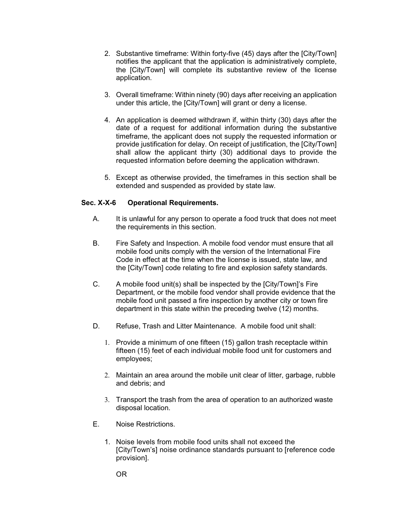- 2. Substantive timeframe: Within forty-five (45) days after the [City/Town] notifies the applicant that the application is administratively complete, the [City/Town] will complete its substantive review of the license application.
- 3. Overall timeframe: Within ninety (90) days after receiving an application under this article, the [City/Town] will grant or deny a license.
- 4. An application is deemed withdrawn if, within thirty (30) days after the date of a request for additional information during the substantive timeframe, the applicant does not supply the requested information or provide justification for delay. On receipt of justification, the [City/Town] shall allow the applicant thirty (30) additional days to provide the requested information before deeming the application withdrawn.
- 5. Except as otherwise provided, the timeframes in this section shall be extended and suspended as provided by state law.

## **Sec. X-X-6 Operational Requirements.**

- A. It is unlawful for any person to operate a food truck that does not meet the requirements in this section.
- B. Fire Safety and Inspection. A mobile food vendor must ensure that all mobile food units comply with the version of the International Fire Code in effect at the time when the license is issued, state law, and the [City/Town] code relating to fire and explosion safety standards.
- C. A mobile food unit(s) shall be inspected by the [City/Town]'s Fire Department, or the mobile food vendor shall provide evidence that the mobile food unit passed a fire inspection by another city or town fire department in this state within the preceding twelve (12) months.
- D. Refuse, Trash and Litter Maintenance. A mobile food unit shall:
	- 1. Provide a minimum of one fifteen (15) gallon trash receptacle within fifteen (15) feet of each individual mobile food unit for customers and employees;
	- 2. Maintain an area around the mobile unit clear of litter, garbage, rubble and debris; and
	- 3. Transport the trash from the area of operation to an authorized waste disposal location.
- E. Noise Restrictions.
	- 1. Noise levels from mobile food units shall not exceed the [City/Town's] noise ordinance standards pursuant to [reference code provision].

OR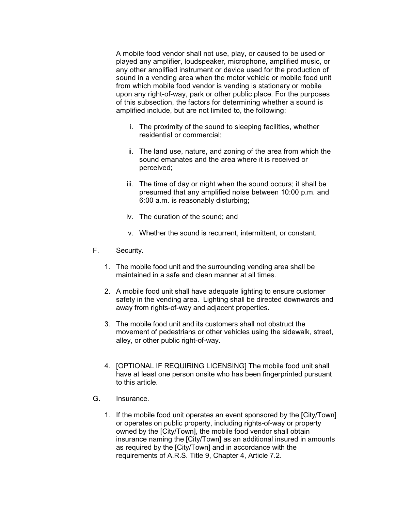A mobile food vendor shall not use, play, or caused to be used or played any amplifier, loudspeaker, microphone, amplified music, or any other amplified instrument or device used for the production of sound in a vending area when the motor vehicle or mobile food unit from which mobile food vendor is vending is stationary or mobile upon any right-of-way, park or other public place. For the purposes of this subsection, the factors for determining whether a sound is amplified include, but are not limited to, the following:

- i. The proximity of the sound to sleeping facilities, whether residential or commercial;
- ii. The land use, nature, and zoning of the area from which the sound emanates and the area where it is received or perceived;
- iii. The time of day or night when the sound occurs; it shall be presumed that any amplified noise between 10:00 p.m. and 6:00 a.m. is reasonably disturbing;
- iv. The duration of the sound; and
- v. Whether the sound is recurrent, intermittent, or constant.
- F. Security.
	- 1. The mobile food unit and the surrounding vending area shall be maintained in a safe and clean manner at all times.
	- 2. A mobile food unit shall have adequate lighting to ensure customer safety in the vending area. Lighting shall be directed downwards and away from rights-of-way and adjacent properties.
	- 3. The mobile food unit and its customers shall not obstruct the movement of pedestrians or other vehicles using the sidewalk, street, alley, or other public right-of-way.
	- 4. [OPTIONAL IF REQUIRING LICENSING] The mobile food unit shall have at least one person onsite who has been fingerprinted pursuant to this article.
- G. Insurance.
	- 1. If the mobile food unit operates an event sponsored by the [City/Town] or operates on public property, including rights-of-way or property owned by the [City/Town], the mobile food vendor shall obtain insurance naming the [City/Town] as an additional insured in amounts as required by the [City/Town] and in accordance with the requirements of A.R.S. Title 9, Chapter 4, Article 7.2.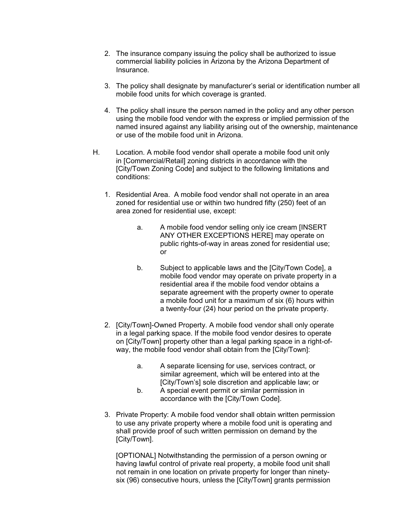- 2. The insurance company issuing the policy shall be authorized to issue commercial liability policies in Arizona by the Arizona Department of Insurance.
- 3. The policy shall designate by manufacturer's serial or identification number all mobile food units for which coverage is granted.
- 4. The policy shall insure the person named in the policy and any other person using the mobile food vendor with the express or implied permission of the named insured against any liability arising out of the ownership, maintenance or use of the mobile food unit in Arizona.
- H. Location. A mobile food vendor shall operate a mobile food unit only in [Commercial/Retail] zoning districts in accordance with the [City/Town Zoning Code] and subject to the following limitations and conditions:
	- 1. Residential Area. A mobile food vendor shall not operate in an area zoned for residential use or within two hundred fifty (250) feet of an area zoned for residential use, except:
		- a. A mobile food vendor selling only ice cream [INSERT ANY OTHER EXCEPTIONS HERE] may operate on public rights-of-way in areas zoned for residential use; or
		- b. Subject to applicable laws and the [City/Town Code], a mobile food vendor may operate on private property in a residential area if the mobile food vendor obtains a separate agreement with the property owner to operate a mobile food unit for a maximum of six (6) hours within a twenty-four (24) hour period on the private property.
	- 2. [City/Town]-Owned Property. A mobile food vendor shall only operate in a legal parking space. If the mobile food vendor desires to operate on [City/Town] property other than a legal parking space in a right-ofway, the mobile food vendor shall obtain from the [City/Town]:
		- a. A separate licensing for use, services contract, or similar agreement, which will be entered into at the [City/Town's] sole discretion and applicable law; or
		- b. A special event permit or similar permission in accordance with the [City/Town Code].
	- 3. Private Property: A mobile food vendor shall obtain written permission to use any private property where a mobile food unit is operating and shall provide proof of such written permission on demand by the [City/Town].

[OPTIONAL] Notwithstanding the permission of a person owning or having lawful control of private real property, a mobile food unit shall not remain in one location on private property for longer than ninetysix (96) consecutive hours, unless the [City/Town] grants permission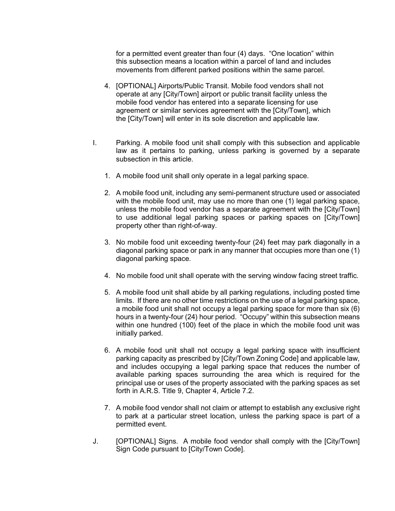for a permitted event greater than four (4) days. "One location" within this subsection means a location within a parcel of land and includes movements from different parked positions within the same parcel.

- 4. [OPTIONAL] Airports/Public Transit. Mobile food vendors shall not operate at any [City/Town] airport or public transit facility unless the mobile food vendor has entered into a separate licensing for use agreement or similar services agreement with the [City/Town], which the [City/Town] will enter in its sole discretion and applicable law.
- I. Parking. A mobile food unit shall comply with this subsection and applicable law as it pertains to parking, unless parking is governed by a separate subsection in this article.
	- 1. A mobile food unit shall only operate in a legal parking space.
	- 2. A mobile food unit, including any semi-permanent structure used or associated with the mobile food unit, may use no more than one (1) legal parking space, unless the mobile food vendor has a separate agreement with the [City/Town] to use additional legal parking spaces or parking spaces on [City/Town] property other than right-of-way.
	- 3. No mobile food unit exceeding twenty-four (24) feet may park diagonally in a diagonal parking space or park in any manner that occupies more than one (1) diagonal parking space.
	- 4. No mobile food unit shall operate with the serving window facing street traffic.
	- 5. A mobile food unit shall abide by all parking regulations, including posted time limits. If there are no other time restrictions on the use of a legal parking space, a mobile food unit shall not occupy a legal parking space for more than six (6) hours in a twenty-four (24) hour period. "Occupy" within this subsection means within one hundred (100) feet of the place in which the mobile food unit was initially parked.
	- 6. A mobile food unit shall not occupy a legal parking space with insufficient parking capacity as prescribed by [City/Town Zoning Code] and applicable law, and includes occupying a legal parking space that reduces the number of available parking spaces surrounding the area which is required for the principal use or uses of the property associated with the parking spaces as set forth in A.R.S. Title 9, Chapter 4, Article 7.2.
	- 7. A mobile food vendor shall not claim or attempt to establish any exclusive right to park at a particular street location, unless the parking space is part of a permitted event.
- J. [OPTIONAL] Signs. A mobile food vendor shall comply with the [City/Town] Sign Code pursuant to [City/Town Code].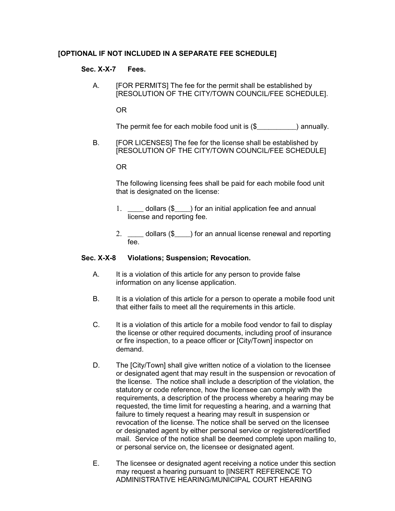## **[OPTIONAL IF NOT INCLUDED IN A SEPARATE FEE SCHEDULE]**

#### **Sec. X-X-7 Fees.**

A. [FOR PERMITS] The fee for the permit shall be established by [RESOLUTION OF THE CITY/TOWN COUNCIL/FEE SCHEDULE].

OR

The permit fee for each mobile food unit is  $(\$$  ) annually.

B. [FOR LICENSES] The fee for the license shall be established by [RESOLUTION OF THE CITY/TOWN COUNCIL/FEE SCHEDULE]

OR

The following licensing fees shall be paid for each mobile food unit that is designated on the license:

- 1. \_\_\_\_ dollars (\$\_\_\_) for an initial application fee and annual license and reporting fee.
- 2. \_\_\_\_ dollars (\$\_\_\_) for an annual license renewal and reporting fee.

#### **Sec. X-X-8 Violations; Suspension; Revocation.**

- A. It is a violation of this article for any person to provide false information on any license application.
- B. It is a violation of this article for a person to operate a mobile food unit that either fails to meet all the requirements in this article.
- C. It is a violation of this article for a mobile food vendor to fail to display the license or other required documents, including proof of insurance or fire inspection, to a peace officer or [City/Town] inspector on demand.
- D. The [City/Town] shall give written notice of a violation to the licensee or designated agent that may result in the suspension or revocation of the license. The notice shall include a description of the violation, the statutory or code reference, how the licensee can comply with the requirements, a description of the process whereby a hearing may be requested, the time limit for requesting a hearing, and a warning that failure to timely request a hearing may result in suspension or revocation of the license. The notice shall be served on the licensee or designated agent by either personal service or registered/certified mail. Service of the notice shall be deemed complete upon mailing to, or personal service on, the licensee or designated agent.
- E. The licensee or designated agent receiving a notice under this section may request a hearing pursuant to [INSERT REFERENCE TO ADMINISTRATIVE HEARING/MUNICIPAL COURT HEARING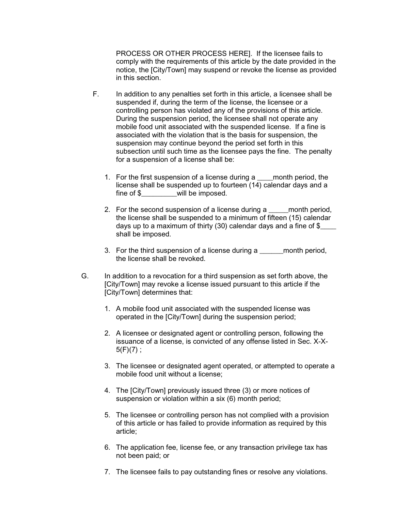PROCESS OR OTHER PROCESS HERE]. If the licensee fails to comply with the requirements of this article by the date provided in the notice, the [City/Town] may suspend or revoke the license as provided in this section.

- F. In addition to any penalties set forth in this article, a licensee shall be suspended if, during the term of the license, the licensee or a controlling person has violated any of the provisions of this article. During the suspension period, the licensee shall not operate any mobile food unit associated with the suspended license. If a fine is associated with the violation that is the basis for suspension, the suspension may continue beyond the period set forth in this subsection until such time as the licensee pays the fine. The penalty for a suspension of a license shall be:
	- 1. For the first suspension of a license during a \_\_\_\_month period, the license shall be suspended up to fourteen (14) calendar days and a fine of \$\_\_\_\_\_\_\_\_\_will be imposed.
	- 2. For the second suspension of a license during a month period, the license shall be suspended to a minimum of fifteen (15) calendar days up to a maximum of thirty (30) calendar days and a fine of \$\_\_\_\_ shall be imposed.
	- 3. For the third suspension of a license during a summant period, the license shall be revoked.
- G. In addition to a revocation for a third suspension as set forth above, the [City/Town] may revoke a license issued pursuant to this article if the [City/Town] determines that:
	- 1. A mobile food unit associated with the suspended license was operated in the [City/Town] during the suspension period;
	- 2. A licensee or designated agent or controlling person, following the issuance of a license, is convicted of any offense listed in Sec. X-X- $5(F)(7)$ ;
	- 3. The licensee or designated agent operated, or attempted to operate a mobile food unit without a license;
	- 4. The [City/Town] previously issued three (3) or more notices of suspension or violation within a six (6) month period;
	- 5. The licensee or controlling person has not complied with a provision of this article or has failed to provide information as required by this article;
	- 6. The application fee, license fee, or any transaction privilege tax has not been paid; or
	- 7. The licensee fails to pay outstanding fines or resolve any violations.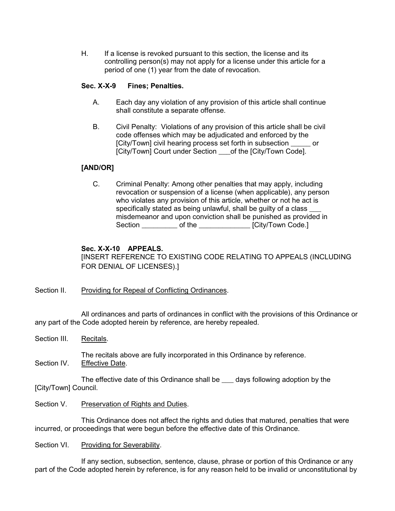H. If a license is revoked pursuant to this section, the license and its controlling person(s) may not apply for a license under this article for a period of one (1) year from the date of revocation.

## **Sec. X-X-9 Fines; Penalties.**

- A. Each day any violation of any provision of this article shall continue shall constitute a separate offense.
- B. Civil Penalty: Violations of any provision of this article shall be civil code offenses which may be adjudicated and enforced by the [City/Town] civil hearing process set forth in subsection or [City/Town] Court under Section \_\_\_\_of the [City/Town Code].

## **[AND/OR]**

C. Criminal Penalty: Among other penalties that may apply, including revocation or suspension of a license (when applicable), any person who violates any provision of this article, whether or not he act is specifically stated as being unlawful, shall be guilty of a class misdemeanor and upon conviction shall be punished as provided in Section \_\_\_\_\_\_\_\_\_\_\_\_ of the \_\_\_\_\_\_\_\_\_\_\_\_\_\_\_\_\_ [City/Town Code.]

## **Sec. X-X-10 APPEALS.**

[INSERT REFERENCE TO EXISTING CODE RELATING TO APPEALS (INCLUDING FOR DENIAL OF LICENSES).]

## Section II. Providing for Repeal of Conflicting Ordinances.

All ordinances and parts of ordinances in conflict with the provisions of this Ordinance or any part of the Code adopted herein by reference, are hereby repealed.

Section III. Recitals.

The recitals above are fully incorporated in this Ordinance by reference. Section IV. Effective Date.

The effective date of this Ordinance shall be \_\_\_ days following adoption by the [City/Town] Council.

Section V. Preservation of Rights and Duties.

This Ordinance does not affect the rights and duties that matured, penalties that were incurred, or proceedings that were begun before the effective date of this Ordinance.

Section VI. Providing for Severability.

If any section, subsection, sentence, clause, phrase or portion of this Ordinance or any part of the Code adopted herein by reference, is for any reason held to be invalid or unconstitutional by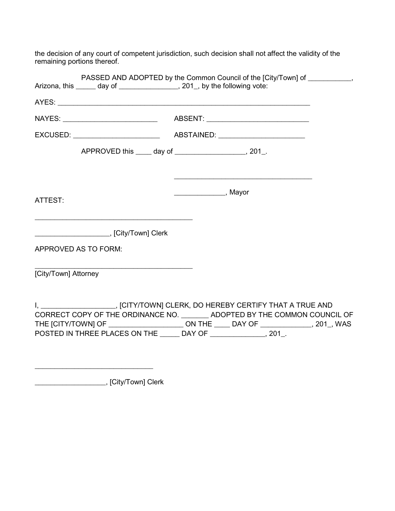the decision of any court of competent jurisdiction, such decision shall not affect the validity of the remaining portions thereof.

|                                                                             | PASSED AND ADOPTED by the Common Council of the [City/Town] of ___________,                                                                                                                                                                                     |
|-----------------------------------------------------------------------------|-----------------------------------------------------------------------------------------------------------------------------------------------------------------------------------------------------------------------------------------------------------------|
| Arizona, this ______ day of _________________, 201_, by the following vote: |                                                                                                                                                                                                                                                                 |
|                                                                             |                                                                                                                                                                                                                                                                 |
|                                                                             |                                                                                                                                                                                                                                                                 |
|                                                                             |                                                                                                                                                                                                                                                                 |
|                                                                             | APPROVED this _____ day of _______________________, 201_.                                                                                                                                                                                                       |
| ATTEST:                                                                     | <u> 2000 - Jan James James Jan James James James James James James James James James James James James James Jam</u>                                                                                                                                            |
|                                                                             |                                                                                                                                                                                                                                                                 |
| APPROVED AS TO FORM:                                                        |                                                                                                                                                                                                                                                                 |
| <u> 1989 - Johann Barbara, martxa alemaniar a</u><br>[City/Town] Attorney   |                                                                                                                                                                                                                                                                 |
| POSTED IN THREE PLACES ON THE ______ DAY OF _______________, 201_.          | I, ______________________, [CITY/TOWN] CLERK, DO HEREBY CERTIFY THAT A TRUE AND<br>CORRECT COPY OF THE ORDINANCE NO. _________ ADOPTED BY THE COMMON COUNCIL OF<br>THE [CITY/TOWN] OF ___________________________ON THE ______ DAY OF ______________, 201_, WAS |

\_\_\_\_\_\_\_\_\_\_\_\_\_\_\_\_\_\_, [City/Town] Clerk

\_\_\_\_\_\_\_\_\_\_\_\_\_\_\_\_\_\_\_\_\_\_\_\_\_\_\_\_\_\_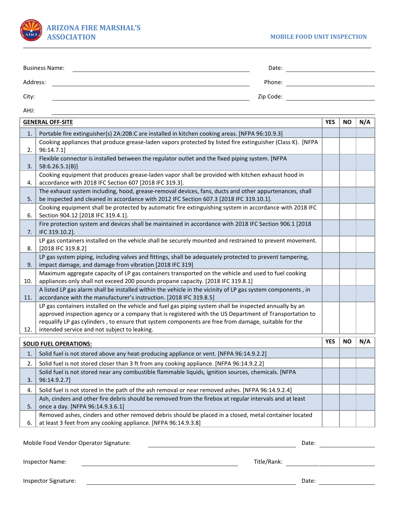

| <b>Business Name:</b> | Date:     |  |
|-----------------------|-----------|--|
| Address:              | Phone:    |  |
| City:                 | Zip Code: |  |

AHJ:

| <b>GENERAL OFF-SITE</b>       |                                                                                                                                                                                                                                                                                                                                                                          | <b>YES</b> | <b>NO</b> | N/A |
|-------------------------------|--------------------------------------------------------------------------------------------------------------------------------------------------------------------------------------------------------------------------------------------------------------------------------------------------------------------------------------------------------------------------|------------|-----------|-----|
| 1.                            | Portable fire extinguisher(s) 2A:20B:C are installed in kitchen cooking areas. [NFPA 96:10.9.3]                                                                                                                                                                                                                                                                          |            |           |     |
| 2.                            | Cooking appliances that produce grease-laden vapors protected by listed fire extinguisher (Class K). [NFPA<br>96:14.7.1]                                                                                                                                                                                                                                                 |            |           |     |
| 3.                            | Flexible connector is installed between the regulator outlet and the fixed piping system. [NFPA<br>58:6.26.5.1(B)                                                                                                                                                                                                                                                        |            |           |     |
| 4.                            | Cooking equipment that produces grease-laden vapor shall be provided with kitchen exhaust hood in<br>accordance with 2018 IFC Section 607 [2018 IFC 319.3].                                                                                                                                                                                                              |            |           |     |
| 5.                            | The exhaust system including, hood, grease-removal devices, fans, ducts and other appurtenances, shall<br>be inspected and cleaned in accordance with 2012 IFC Section 607.3 [2018 IFC 319.10.1].                                                                                                                                                                        |            |           |     |
| 6.                            | Cooking equipment shall be protected by automatic fire extinguishing system in accordance with 2018 IFC<br>Section 904.12 [2018 IFC 319.4.1].                                                                                                                                                                                                                            |            |           |     |
| 7.                            | Fire protection system and devices shall be maintained in accordance with 2018 IFC Section 906.1 [2018<br>IFC 319.10.2].                                                                                                                                                                                                                                                 |            |           |     |
| 8.                            | LP gas containers installed on the vehicle shall be securely mounted and restrained to prevent movement.<br>[2018 IFC 319.8.2]                                                                                                                                                                                                                                           |            |           |     |
| 9.                            | LP gas system piping, including valves and fittings, shall be adequately protected to prevent tampering,<br>impact damage, and damage from vibration [2018 IFC 319]                                                                                                                                                                                                      |            |           |     |
| 10.                           | Maximum aggregate capacity of LP gas containers transported on the vehicle and used to fuel cooking<br>appliances only shall not exceed 200 pounds propane capacity. [2018 IFC 319.8.1]                                                                                                                                                                                  |            |           |     |
| 11.                           | A listed LP gas alarm shall be installed within the vehicle in the vicinity of LP gas system components, in<br>accordance with the manufacturer's instruction. [2018 IFC 319.8.5]                                                                                                                                                                                        |            |           |     |
| 12.                           | LP gas containers installed on the vehicle and fuel gas piping system shall be inspected annually by an<br>approved inspection agency or a company that is registered with the US Department of Transportation to<br>requalify LP gas cylinders, to ensure that system components are free from damage, suitable for the<br>intended service and not subject to leaking. |            |           |     |
| <b>SOLID FUEL OPERATIONS:</b> |                                                                                                                                                                                                                                                                                                                                                                          | <b>YES</b> | <b>NO</b> | N/A |
| 1.                            | Solid fuel is not stored above any heat-producing appliance or vent. [NFPA 96:14.9.2.2]                                                                                                                                                                                                                                                                                  |            |           |     |
| 2.                            | Solid fuel is not stored closer than 3 ft from any cooking appliance. [NFPA 96:14.9.2.2]                                                                                                                                                                                                                                                                                 |            |           |     |
| 3.                            | Solid fuel is not stored near any combustible flammable liquids, ignition sources, chemicals. [NFPA<br>96:14.9.2.7]                                                                                                                                                                                                                                                      |            |           |     |
| 4.                            | Solid fuel is not stored in the path of the ash removal or near removed ashes. [NFPA 96:14.9.2.4]                                                                                                                                                                                                                                                                        |            |           |     |
| 5.                            | Ash, cinders and other fire debris should be removed from the firebox at regular intervals and at least<br>once a day. [NFPA 96:14.9.3.6.1]                                                                                                                                                                                                                              |            |           |     |
| 6.                            | Removed ashes, cinders and other removed debris should be placed in a closed, metal container located<br>at least 3 feet from any cooking appliance. [NFPA 96:14.9.3.8]                                                                                                                                                                                                  |            |           |     |

Mobile Food Vendor Operator Signature: Date:

Inspector Name: Title/Rank: Title/Rank:

Inspector Signature: <u>Date: Date: Date: Date: Date: Date: Date: Date: Date: Date: Date: Date: Date: Date: Date: Date: Date: Date: Date: Date: Date: Date: Date: Date: Date: Date: Date: Date: Date: Date: Date: Date: Date: Da</u>